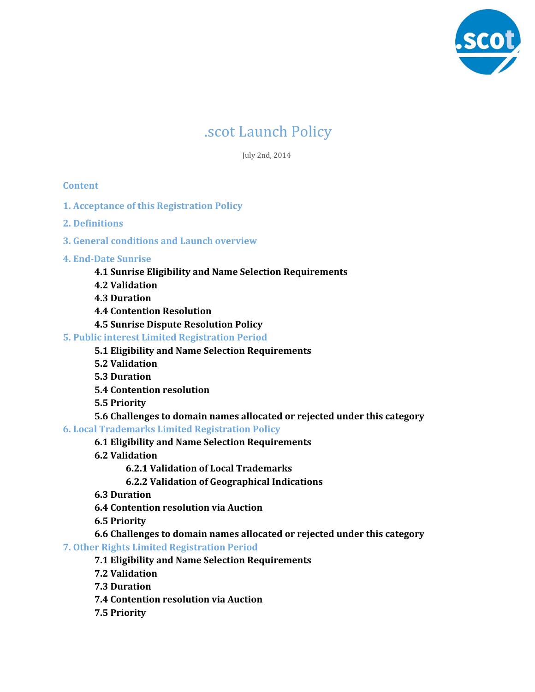

# .scot Launch Policy

July 2nd, 2014

# **Content**

- **1. Acceptance of this Registration Policy**
- **2. Definitions**
- **3. General conditions and Launch overview**
- **4. End-Date Sunrise**
	- **4.1 Sunrise Eligibility and Name Selection Requirements**
	- **4.2 Validation**
	- **4.3 Duration**
	- **4.4 Contention Resolution**
	- **4.5 Sunrise Dispute Resolution Policy**

# **5. Public interest Limited Registration Period**

- **5.1 Eligibility and Name Selection Requirements**
- **5.2 Validation**
- **5.3 Duration**
- **5.4 Contention resolution**
- **5.5 Priority**
- **5.6 Challenges to domain names allocated or rejected under this category**
- **6. Local Trademarks Limited Registration Policy**
	- **6.1 Eligibility and Name Selection Requirements**
	- **6.2 Validation**
		- **6.2.1 Validation of Local Trademarks**
		- **6.2.2 Validation of Geographical Indications**
	- **6.3 Duration**
	- **6.4 Contention resolution via Auction**
	- **6.5 Priority**
	- **6.6 Challenges to domain names allocated or rejected under this category**
- **7. Other Rights Limited Registration Period**
	- **7.1 Eligibility and Name Selection Requirements**
	- **7.2 Validation**
	- **7.3 Duration**
	- **7.4 Contention resolution via Auction**
	- **7.5 Priority**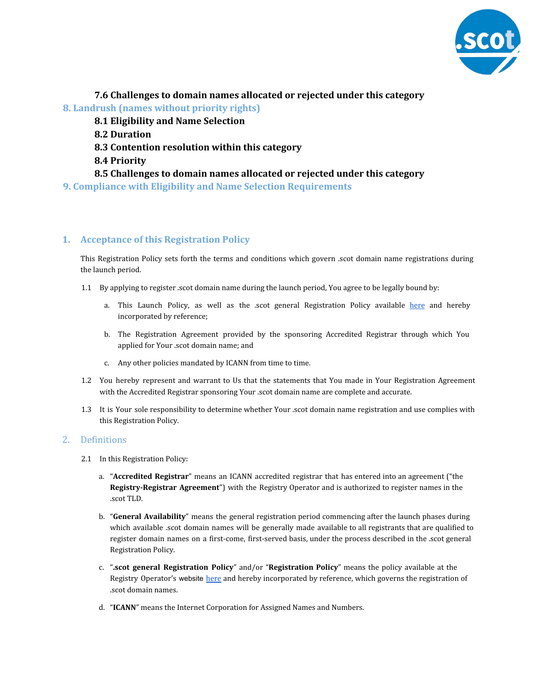

**7.6 Challenges to domain names allocated or rejected under this category**

**8. Landrush (names without priority rights)**

- **8.1 Eligibility and Name Selection**
- **8.2 Duration**
- **8.3 Contention resolution within this category**
- **8.4 Priority**
- **8.5 Challenges to domain names allocated or rejected under this category**

**9. Compliance with Eligibility and Name Selection Requirements**

# **1. Acceptance of this Registration Policy**

This Registration Policy sets forth the terms and conditions which govern .scot domain name registrations during the launch period.

- 1.1 By applying to register .scot domain name during the launch period, You agree to be legally bound by:
	- a. This Launch Policy, as well as the .scot general Registration Policy available [here](http://www.google.com/url?q=http%3A%2F%2Fdotscot.net%2Fpolicies&sa=D&sntz=1&usg=AFQjCNH9m3E96MHLVzawxV4-KiOjLcc1vg) and hereby incorporated by reference;
	- b. The Registration Agreement provided by the sponsoring Accredited Registrar through which You applied for Your .scot domain name; and
	- c. Any other policies mandated by ICANN from time to time.
- 1.2 You hereby represent and warrant to Us that the statements that You made in Your Registration Agreement with the Accredited Registrar sponsoring Your .scot domain name are complete and accurate.
- 1.3 It is Your sole responsibility to determine whether Your .scot domain name registration and use complies with this Registration Policy.

# 2. Definitions

- 2.1 In this Registration Policy:
	- a. "**Accredited Registrar**" means an ICANN accredited registrar that has entered into an agreement ("the **Registry-Registrar Agreement**") with the Registry Operator and is authorized to register names in the .scot TLD.
	- b. "**General Availability**" means the general registration period commencing after the launch phases during which available .scot domain names will be generally made available to all registrants that are qualified to register domain names on a first-come, first-served basis, under the process described in the .scot general Registration Policy.
	- c. "**.scot general Registration Policy**" and/or "**Registration Policy**" means the policy available at the Registry Operator's website [here](http://www.google.com/url?q=http%3A%2F%2Fdotscot.net%2Fpolicies&sa=D&sntz=1&usg=AFQjCNH9m3E96MHLVzawxV4-KiOjLcc1vg) and hereby incorporated by reference, which governs the registration of .scot domain names.
	- d. "**ICANN**" means the Internet Corporation for Assigned Names and Numbers.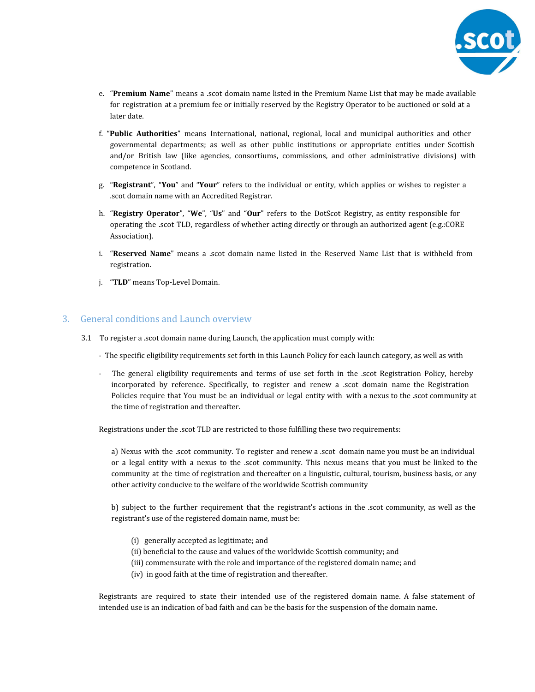

- e. "**Premium Name**" means a .scot domain name listed in the Premium Name List that may be made available for registration at a premium fee or initially reserved by the Registry Operator to be auctioned or sold at a later date.
- f. "**Public Authorities**" means International, national, regional, local and municipal authorities and other governmental departments; as well as other public institutions or appropriate entities under Scottish and/or British law (like agencies, consortiums, commissions, and other administrative divisions) with competence in Scotland.
- g. "**Registrant**", "**You**" and "**Your**" refers to the individual or entity, which applies or wishes to register a .scot domain name with an Accredited Registrar.
- h. "**Registry Operator**", "**We**", "**Us**" and "**Our**" refers to the DotScot Registry, as entity responsible for operating the .scot TLD, regardless of whether acting directly or through an authorized agent (e.g.:CORE Association).
- i. "**Reserved Name**" means a .scot domain name listed in the Reserved Name List that is withheld from registration.
- j. "**TLD**" means Top-Level Domain.

# 3. General conditions and Launch overview

- 3.1 To register a .scot domain name during Launch, the application must comply with:
	- The specific eligibility requirements set forth in this Launch Policy for each launch category, as well as with
	- The general eligibility requirements and terms of use set forth in the .scot Registration Policy, hereby incorporated by reference. Specifically, to register and renew a .scot domain name the Registration Policies require that You must be an individual or legal entity with with a nexus to the .scot community at the time of registration and thereafter.

Registrations under the .scot TLD are restricted to those fulfilling these two requirements:

a) Nexus with the .scot community. To register and renew a .scot domain name you must be an individual or a legal entity with a nexus to the .scot community. This nexus means that you must be linked to the community at the time of registration and thereafter on a linguistic, cultural, tourism, business basis, or any other activity conducive to the welfare of the worldwide Scottish community

b) subject to the further requirement that the registrant's actions in the .scot community, as well as the registrant's use of the registered domain name, must be:

- (i) generally accepted as legitimate; and
- (ii) beneficial to the cause and values of the worldwide Scottish community; and
- (iii) commensurate with the role and importance of the registered domain name; and
- (iv) in good faith at the time of registration and thereafter.

Registrants are required to state their intended use of the registered domain name. A false statement of intended use is an indication of bad faith and can be the basis for the suspension of the domain name.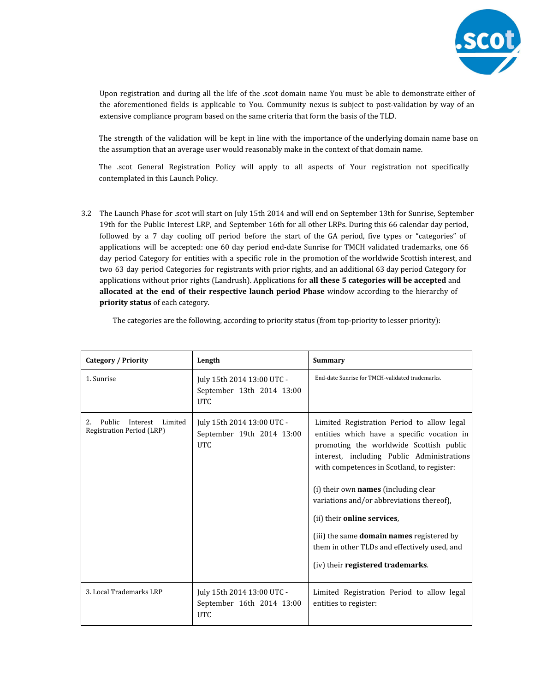

Upon registration and during all the life of the .scot domain name You must be able to demonstrate either of the aforementioned fields is applicable to You. Community nexus is subject to post-validation by way of an extensive compliance program based on the same criteria that form the basis of the TLD.

The strength of the validation will be kept in line with the importance of the underlying domain name base on the assumption that an average user would reasonably make in the context of that domain name.

The .scot General Registration Policy will apply to all aspects of Your registration not specifically contemplated in this Launch Policy.

3.2 The Launch Phase for .scot will start on July 15th 2014 and will end on September 13th for Sunrise, September 19th for the Public Interest LRP, and September 16th for all other LRPs. During this 66 calendar day period, followed by a 7 day cooling off period before the start of the GA period, five types or "categories" of applications will be accepted: one 60 day period end-date Sunrise for TMCH validated trademarks, one 66 day period Category for entities with a specific role in the promotion of the worldwide Scottish interest, and two 63 day period Categories for registrants with prior rights, and an additional 63 day period Category for applications without prior rights (Landrush). Applications for **all these 5 categories will be accepted** and **allocated at the end of their respective launch period Phase** window according to the hierarchy of **priority status** of each category.

| Category / Priority                                                     | Length                                                                | <b>Summary</b>                                                                                                                                                                                                                                                                                                                                                                                                                                                                        |
|-------------------------------------------------------------------------|-----------------------------------------------------------------------|---------------------------------------------------------------------------------------------------------------------------------------------------------------------------------------------------------------------------------------------------------------------------------------------------------------------------------------------------------------------------------------------------------------------------------------------------------------------------------------|
| 1. Sunrise                                                              | July 15th 2014 13:00 UTC -<br>September 13th 2014 13:00<br><b>UTC</b> | End-date Sunrise for TMCH-validated trademarks.                                                                                                                                                                                                                                                                                                                                                                                                                                       |
| Public<br>2.<br>Interest<br>Limited<br><b>Registration Period (LRP)</b> | July 15th 2014 13:00 UTC -<br>September 19th 2014 13:00<br><b>UTC</b> | Limited Registration Period to allow legal<br>entities which have a specific vocation in<br>promoting the worldwide Scottish public<br>interest, including Public Administrations<br>with competences in Scotland, to register:<br>(i) their own names (including clear<br>variations and/or abbreviations thereof),<br>(ii) their online services,<br>(iii) the same domain names registered by<br>them in other TLDs and effectively used, and<br>(iv) their registered trademarks. |
| 3. Local Trademarks LRP                                                 | July 15th 2014 13:00 UTC -<br>September 16th 2014 13:00<br><b>UTC</b> | Limited Registration Period to allow legal<br>entities to register:                                                                                                                                                                                                                                                                                                                                                                                                                   |

The categories are the following, according to priority status (from top-priority to lesser priority):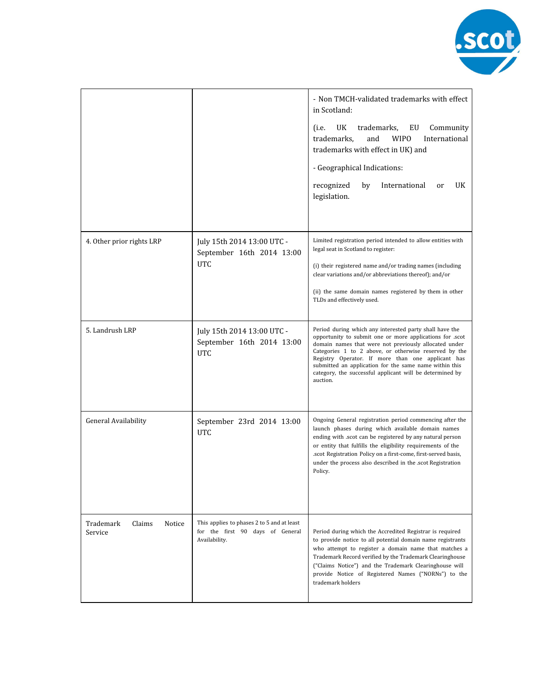

|                                          |                                                                                                 | - Non TMCH-validated trademarks with effect<br>in Scotland:<br>UK<br>trademarks,<br>EU<br>Community<br>(i.e.<br>trademarks,<br>and<br><b>WIPO</b><br>International<br>trademarks with effect in UK) and<br>- Geographical Indications:<br>recognized<br>by<br>International<br>UK<br>or<br>legislation.                                                                                                                      |
|------------------------------------------|-------------------------------------------------------------------------------------------------|------------------------------------------------------------------------------------------------------------------------------------------------------------------------------------------------------------------------------------------------------------------------------------------------------------------------------------------------------------------------------------------------------------------------------|
| 4. Other prior rights LRP                | July 15th 2014 13:00 UTC -<br>September 16th 2014 13:00<br>UTC                                  | Limited registration period intended to allow entities with<br>legal seat in Scotland to register:<br>(i) their registered name and/or trading names (including<br>clear variations and/or abbreviations thereof); and/or<br>(ii) the same domain names registered by them in other<br>TLDs and effectively used.                                                                                                            |
| 5. Landrush LRP                          | July 15th 2014 13:00 UTC -<br>September 16th 2014 13:00<br><b>UTC</b>                           | Period during which any interested party shall have the<br>opportunity to submit one or more applications for .scot<br>domain names that were not previously allocated under<br>Categories 1 to 2 above, or otherwise reserved by the<br>Registry Operator. If more than one applicant has<br>submitted an application for the same name within this<br>category, the successful applicant will be determined by<br>auction. |
| General Availability                     | September 23rd 2014 13:00<br><b>UTC</b>                                                         | Ongoing General registration period commencing after the<br>launch phases during which available domain names<br>ending with .scot can be registered by any natural person<br>or entity that fulfills the eligibility requirements of the<br>.scot Registration Policy on a first-come, first-served basis,<br>under the process also described in the scot Registration<br>Policy.                                          |
| Trademark<br>Claims<br>Notice<br>Service | This applies to phases 2 to 5 and at least<br>for the first 90 days of General<br>Availability. | Period during which the Accredited Registrar is required<br>to provide notice to all potential domain name registrants<br>who attempt to register a domain name that matches a<br>Trademark Record verified by the Trademark Clearinghouse<br>("Claims Notice") and the Trademark Clearinghouse will<br>provide Notice of Registered Names ("NORNs") to the<br>trademark holders                                             |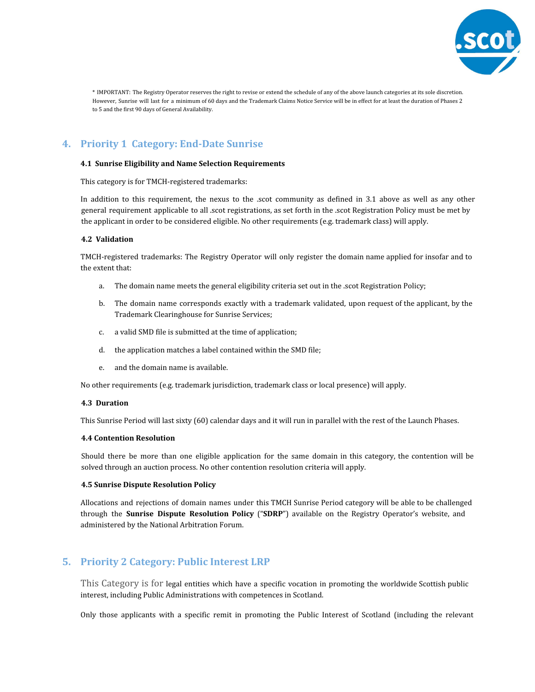

\* IMPORTANT: The Registry Operator reserves the right to revise or extend the schedule of any of the above launch categories at its sole discretion. However, Sunrise will last for a minimum of 60 days and the Trademark Claims Notice Service will be in effect for at least the duration of Phases 2 to 5 and the first 90 days of General Availability.

# **4. Priority 1 Category: End-Date Sunrise**

## **4.1 Sunrise Eligibility and Name Selection Requirements**

This category is for TMCH-registered trademarks:

In addition to this requirement, the nexus to the .scot community as defined in 3.1 above as well as any other general requirement applicable to all .scot registrations, as set forth in the .scot Registration Policy must be met by the applicant in order to be considered eligible. No other requirements (e.g. trademark class) will apply.

## **4.2 Validation**

TMCH-registered trademarks: The Registry Operator will only register the domain name applied for insofar and to the extent that:

- a. The domain name meets the general eligibility criteria set out in the .scot Registration Policy;
- b. The domain name corresponds exactly with a trademark validated, upon request of the applicant, by the Trademark Clearinghouse for Sunrise Services;
- c. a valid SMD file is submitted at the time of application;
- d. the application matches a label contained within the SMD file;
- e. and the domain name is available.

No other requirements (e.g. trademark jurisdiction, trademark class or local presence) will apply.

#### **4.3 Duration**

This Sunrise Period will last sixty (60) calendar days and it will run in parallel with the rest of the Launch Phases.

#### **4.4 Contention Resolution**

Should there be more than one eligible application for the same domain in this category, the contention will be solved through an auction process. No other contention resolution criteria will apply.

## **4.5 Sunrise Dispute Resolution Policy**

Allocations and rejections of domain names under this TMCH Sunrise Period category will be able to be challenged through the **Sunrise Dispute Resolution Policy** ("**SDRP**") available on the Registry Operator's website, and administered by the National Arbitration Forum.

# **5. Priority 2 Category: Public Interest LRP**

This Category is for legal entities which have a specific vocation in promoting the worldwide Scottish public interest, including Public Administrations with competences in Scotland.

Only those applicants with a specific remit in promoting the Public Interest of Scotland (including the relevant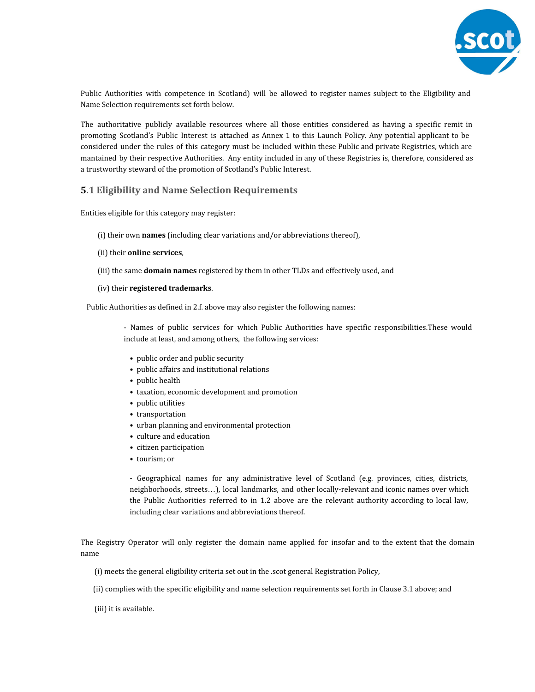

Public Authorities with competence in Scotland) will be allowed to register names subject to the Eligibility and Name Selection requirements set forth below.

The authoritative publicly available resources where all those entities considered as having a specific remit in promoting Scotland's Public Interest is attached as Annex 1 to this Launch Policy. Any potential applicant to be considered under the rules of this category must be included within these Public and private Registries, which are mantained by their respective Authorities. Any entity included in any of these Registries is, therefore, considered as a trustworthy steward of the promotion of Scotland's Public Interest.

# **5.1 Eligibility and Name Selection Requirements**

Entities eligible for this category may register:

- (i) their own **names** (including clear variations and/or abbreviations thereof),
- (ii) their **online services**,
- (iii) the same **domain names** registered by them in other TLDs and effectively used, and
- (iv) their **registered trademarks**.

Public Authorities as defined in 2.f. above may also register the following names:

- Names of public services for which Public Authorities have specific responsibilities.These would include at least, and among others, the following services:

- public order and public security
- public affairs and institutional relations
- public health
- taxation, economic development and promotion
- public utilities
- transportation
- urban planning and environmental protection
- culture and education
- citizen participation
- tourism; or

- Geographical names for any administrative level of Scotland (e.g. provinces, cities, districts, neighborhoods, streets…), local landmarks, and other locally-relevant and iconic names over which the Public Authorities referred to in 1.2 above are the relevant authority according to local law, including clear variations and abbreviations thereof.

The Registry Operator will only register the domain name applied for insofar and to the extent that the domain name

- (i) meets the general eligibility criteria set out in the .scot general Registration Policy,
- (ii) complies with the specific eligibility and name selection requirements set forth in Clause 3.1 above; and
- (iii) it is available.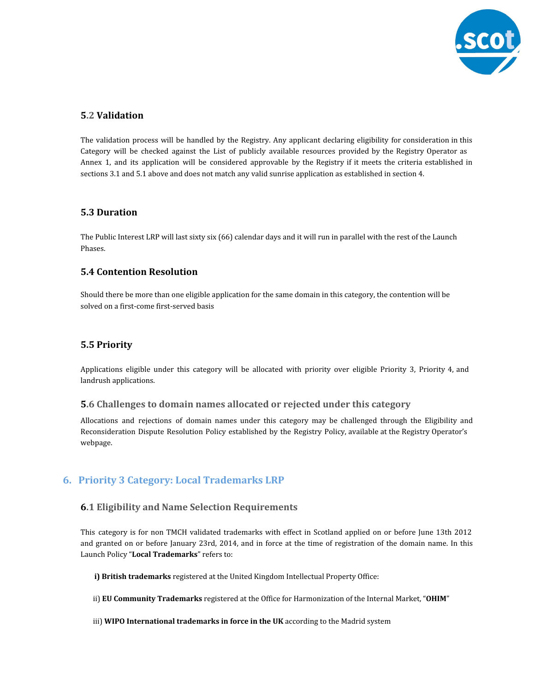

# **5.2 Validation**

The validation process will be handled by the Registry. Any applicant declaring eligibility for consideration in this Category will be checked against the List of publicly available resources provided by the Registry Operator as Annex 1, and its application will be considered approvable by the Registry if it meets the criteria established in sections 3.1 and 5.1 above and does not match any valid sunrise application as established in section 4.

# **5.3 Duration**

The Public Interest LRP will last sixty six (66) calendar days and it will run in parallel with the rest of the Launch Phases.

## **5.4 Contention Resolution**

Should there be more than one eligible application for the same domain in this category, the contention will be solved on a first-come first-served basis

## **5.5 Priority**

Applications eligible under this category will be allocated with priority over eligible Priority 3, Priority 4, and landrush applications.

## **5.6 Challenges to domain names allocated or rejected under this category**

Allocations and rejections of domain names under this category may be challenged through the Eligibility and Reconsideration Dispute Resolution Policy established by the Registry Policy, available at the Registry Operator's webpage.

# **6. Priority 3 Category: Local Trademarks LRP**

## **6.1 Eligibility and Name Selection Requirements**

This category is for non TMCH validated trademarks with effect in Scotland applied on or before June 13th 2012 and granted on or before January 23rd, 2014, and in force at the time of registration of the domain name. In this Launch Policy "**Local Trademarks**" refers to:

**i) British trademarks** registered at the United Kingdom Intellectual Property Office:

- ii) **EU Community Trademarks** registered at the Office for Harmonization of the Internal Market, "**OHIM**"
- iii) **WIPO International trademarks in force in the UK** according to the Madrid system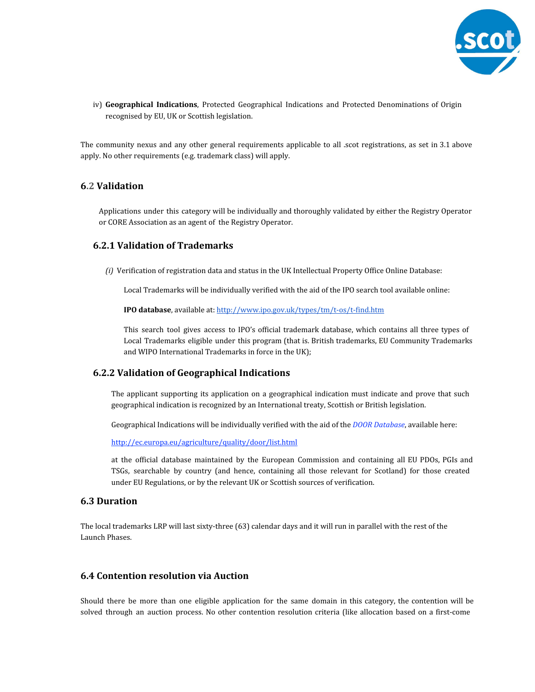

iv) **Geographical Indications**, Protected Geographical Indications and Protected Denominations of Origin recognised by EU, UK or Scottish legislation.

The community nexus and any other general requirements applicable to all .scot registrations, as set in 3.1 above apply. No other requirements (e.g. trademark class) will apply.

## **6.2 Validation**

Applications under this category will be individually and thoroughly validated by either the Registry Operator or CORE Association as an agent of the Registry Operator.

## **6.2.1 Validation of Trademarks**

*(i)* Verification of registration data and status in the UK Intellectual Property Office Online Database:

Local Trademarks will be individually verified with the aid of the IPO search tool available online:

**IPO database**, available at: [http://www.ipo.gov.uk/types/tm/t-os/t-find.htm](http://www.google.com/url?q=http%3A%2F%2Fwww.ipo.gov.uk%2Ftypes%2Ftm%2Ft-os%2Ft-find.htm&sa=D&sntz=1&usg=AFQjCNExJJiLu8JHIl_SXXLnT25IW-1JfA)

This search tool gives access to IPO's official trademark database, which contains all three types of Local Trademarks eligible under this program (that is. British trademarks, EU Community Trademarks and WIPO International Trademarks in force in the UK);

## **6.2.2 Validation of Geographical Indications**

The applicant supporting its application on a geographical indication must indicate and prove that such geographical indication is recognized by an International treaty, Scottish or British legislation.

Geographical Indications will be individually verified with the aid of the *DOOR Database*[,](http://www.google.com/url?q=http%3A%2F%2Fec.europa.eu%2Fagriculture%2Fquality%2Fdoor%2Flist.html&sa=D&sntz=1&usg=AFQjCNEKOTnV5KI2JNr4jElRcVJ5hiq1HA) available here:

[http://ec.europa.eu/agriculture/quality/door/list.html](http://www.google.com/url?q=http%3A%2F%2Fec.europa.eu%2Fagriculture%2Fquality%2Fdoor%2Flist.html&sa=D&sntz=1&usg=AFQjCNEKOTnV5KI2JNr4jElRcVJ5hiq1HA)

at the official database maintained by the European Commission and containing all EU PDOs, PGIs and TSGs, searchable by country (and hence, containing all those relevant for Scotland) for those created under EU Regulations, or by the relevant UK or Scottish sources of verification.

# **6.3 Duration**

The local trademarks LRP will last sixty-three (63) calendar days and it will run in parallel with the rest of the Launch Phases.

# **6.4 Contention resolution via Auction**

Should there be more than one eligible application for the same domain in this category, the contention will be solved through an auction process. No other contention resolution criteria (like allocation based on a first-come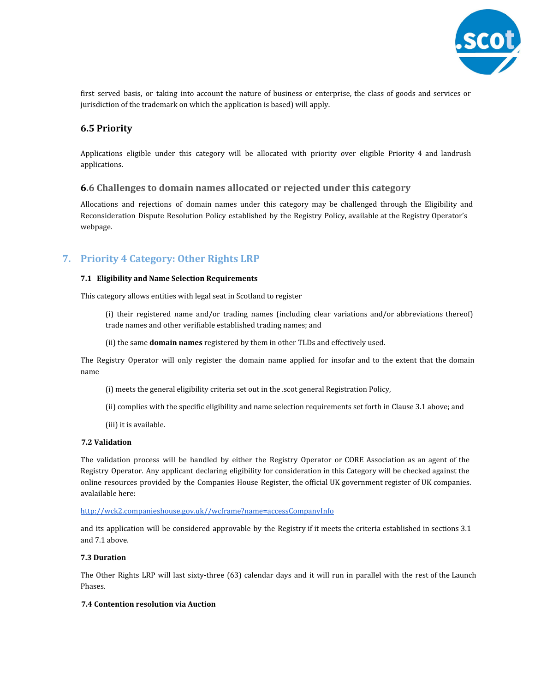

first served basis, or taking into account the nature of business or enterprise, the class of goods and services or jurisdiction of the trademark on which the application is based) will apply.

## **6.5 Priority**

Applications eligible under this category will be allocated with priority over eligible Priority 4 and landrush applications.

## **6.6 Challenges to domain names allocated or rejected under this category**

Allocations and rejections of domain names under this category may be challenged through the Eligibility and Reconsideration Dispute Resolution Policy established by the Registry Policy, available at the Registry Operator's webpage.

# **7. Priority 4 Category: Other Rights LRP**

#### **7.1 Eligibility and Name Selection Requirements**

This category allows entities with legal seat in Scotland to register

(i) their registered name and/or trading names (including clear variations and/or abbreviations thereof) trade names and other verifiable established trading names; and

(ii) the same **domain names** registered by them in other TLDs and effectively used.

The Registry Operator will only register the domain name applied for insofar and to the extent that the domain name

- (i) meets the general eligibility criteria set out in the .scot general Registration Policy,
- (ii) complies with the specific eligibility and name selection requirements set forth in Clause 3.1 above; and
- (iii) it is available.

## **7.2 Validation**

The validation process will be handled by either the Registry Operator or CORE Association as an agent of the Registry Operator. Any applicant declaring eligibility for consideration in this Category will be checked against the online resources provided by the Companies House Register, the official UK government register of UK companies. avalailable here:

#### [http://wck2.companieshouse.gov.uk//wcframe?name=accessCompanyInfo](http://www.google.com/url?q=http%3A%2F%2Fwck2.companieshouse.gov.uk%2F%2Fwcframe%3Fname%3DaccessCompanyInfo&sa=D&sntz=1&usg=AFQjCNGWrWg-LHW2zb1RTesQtnLXKmrk9w)

and its application will be considered approvable by the Registry if it meets the criteria established in sections 3.1 and 7.1 above.

#### **7.3 Duration**

The Other Rights LRP will last sixty-three (63) calendar days and it will run in parallel with the rest of the Launch Phases.

## **7.4 Contention resolution via Auction**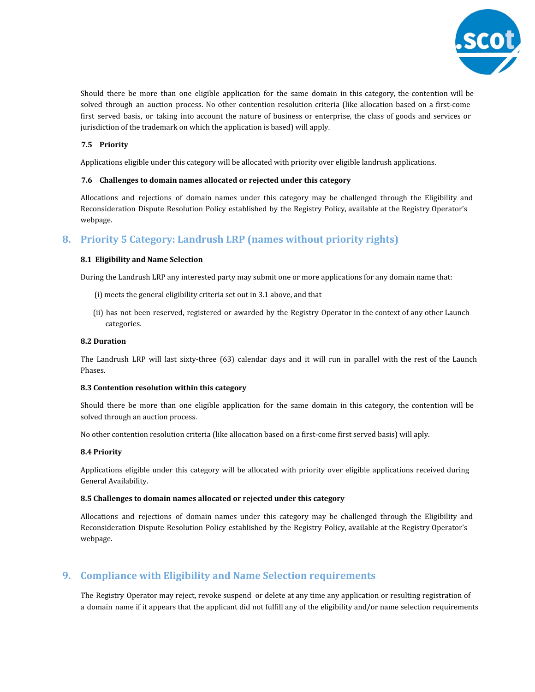

Should there be more than one eligible application for the same domain in this category, the contention will be solved through an auction process. No other contention resolution criteria (like allocation based on a first-come first served basis, or taking into account the nature of business or enterprise, the class of goods and services or jurisdiction of the trademark on which the application is based) will apply.

## **7.5 Priority**

Applications eligible under this category will be allocated with priority over eligible landrush applications.

#### **7.6 Challenges to domain names allocated or rejected under this category**

Allocations and rejections of domain names under this category may be challenged through the Eligibility and Reconsideration Dispute Resolution Policy established by the Registry Policy, available at the Registry Operator's webpage.

# **8. Priority 5 Category: Landrush LRP (names without priority rights)**

#### **8.1 Eligibility and Name Selection**

During the Landrush LRP any interested party may submit one or more applications for any domain name that:

- (i) meets the general eligibility criteria set out in 3.1 above, and that
- (ii) has not been reserved, registered or awarded by the Registry Operator in the context of any other Launch categories.

#### **8.2 Duration**

The Landrush LRP will last sixty-three (63) calendar days and it will run in parallel with the rest of the Launch Phases.

#### **8.3 Contention resolution within this category**

Should there be more than one eligible application for the same domain in this category, the contention will be solved through an auction process.

No other contention resolution criteria (like allocation based on a first-come first served basis) will aply.

## **8.4 Priority**

Applications eligible under this category will be allocated with priority over eligible applications received during General Availability.

#### **8.5 Challenges to domain names allocated or rejected under this category**

Allocations and rejections of domain names under this category may be challenged through the Eligibility and Reconsideration Dispute Resolution Policy established by the Registry Policy, available at the Registry Operator's webpage.

# **9. Compliance with Eligibility and Name Selection requirements**

The Registry Operator may reject, revoke suspend or delete at any time any application or resulting registration of a domain name if it appears that the applicant did not fulfill any of the eligibility and/or name selection requirements